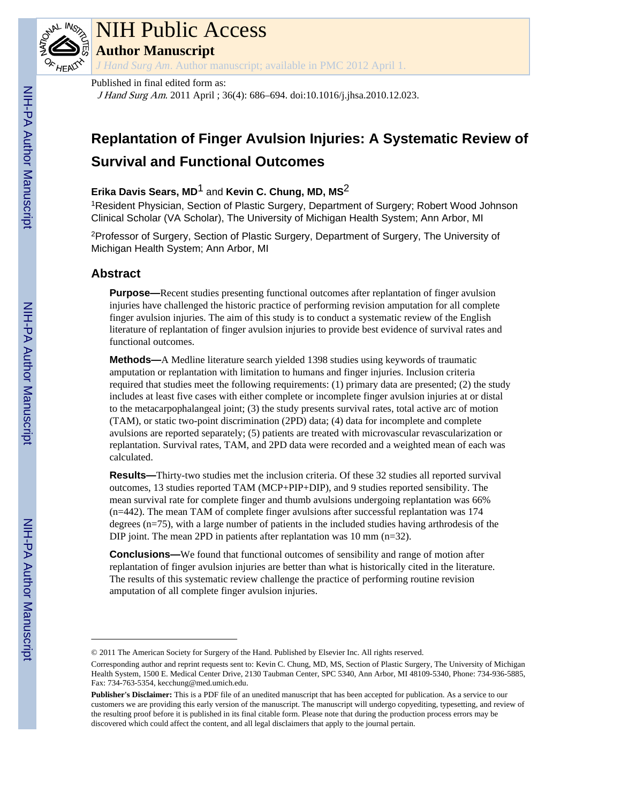

## NIH Public Access

**Author Manuscript**

*J Hand Surg Am*. Author manuscript; available in PMC 2012 April 1.

#### Published in final edited form as:

J Hand Surg Am. 2011 April ; 36(4): 686–694. doi:10.1016/j.jhsa.2010.12.023.

### **Replantation of Finger Avulsion Injuries: A Systematic Review of Survival and Functional Outcomes**

#### **Erika Davis Sears, MD**1 and **Kevin C. Chung, MD, MS**2

<sup>1</sup>Resident Physician, Section of Plastic Surgery, Department of Surgery; Robert Wood Johnson Clinical Scholar (VA Scholar), The University of Michigan Health System; Ann Arbor, MI

<sup>2</sup>Professor of Surgery, Section of Plastic Surgery, Department of Surgery, The University of Michigan Health System; Ann Arbor, MI

#### **Abstract**

**Purpose—**Recent studies presenting functional outcomes after replantation of finger avulsion injuries have challenged the historic practice of performing revision amputation for all complete finger avulsion injuries. The aim of this study is to conduct a systematic review of the English literature of replantation of finger avulsion injuries to provide best evidence of survival rates and functional outcomes.

**Methods—**A Medline literature search yielded 1398 studies using keywords of traumatic amputation or replantation with limitation to humans and finger injuries. Inclusion criteria required that studies meet the following requirements: (1) primary data are presented; (2) the study includes at least five cases with either complete or incomplete finger avulsion injuries at or distal to the metacarpophalangeal joint; (3) the study presents survival rates, total active arc of motion (TAM), or static two-point discrimination (2PD) data; (4) data for incomplete and complete avulsions are reported separately; (5) patients are treated with microvascular revascularization or replantation. Survival rates, TAM, and 2PD data were recorded and a weighted mean of each was calculated.

**Results—**Thirty-two studies met the inclusion criteria. Of these 32 studies all reported survival outcomes, 13 studies reported TAM (MCP+PIP+DIP), and 9 studies reported sensibility. The mean survival rate for complete finger and thumb avulsions undergoing replantation was 66% (n=442). The mean TAM of complete finger avulsions after successful replantation was 174 degrees (n=75), with a large number of patients in the included studies having arthrodesis of the DIP joint. The mean 2PD in patients after replantation was 10 mm (n=32).

**Conclusions—**We found that functional outcomes of sensibility and range of motion after replantation of finger avulsion injuries are better than what is historically cited in the literature. The results of this systematic review challenge the practice of performing routine revision amputation of all complete finger avulsion injuries.

<sup>© 2011</sup> The American Society for Surgery of the Hand. Published by Elsevier Inc. All rights reserved.

Corresponding author and reprint requests sent to: Kevin C. Chung, MD, MS, Section of Plastic Surgery, The University of Michigan Health System, 1500 E. Medical Center Drive, 2130 Taubman Center, SPC 5340, Ann Arbor, MI 48109-5340, Phone: 734-936-5885, Fax: 734-763-5354, kecchung@med.umich.edu.

**Publisher's Disclaimer:** This is a PDF file of an unedited manuscript that has been accepted for publication. As a service to our customers we are providing this early version of the manuscript. The manuscript will undergo copyediting, typesetting, and review of the resulting proof before it is published in its final citable form. Please note that during the production process errors may be discovered which could affect the content, and all legal disclaimers that apply to the journal pertain.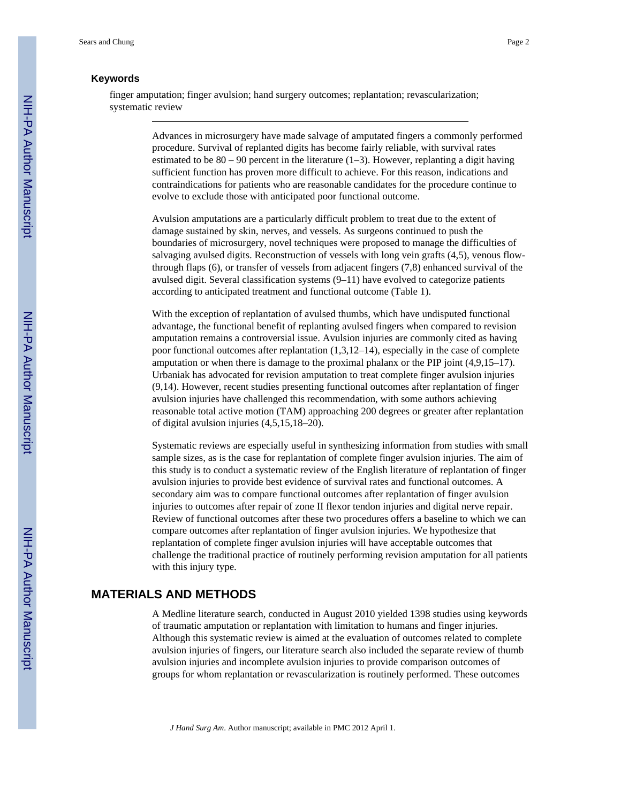#### **Keywords**

finger amputation; finger avulsion; hand surgery outcomes; replantation; revascularization; systematic review

> Advances in microsurgery have made salvage of amputated fingers a commonly performed procedure. Survival of replanted digits has become fairly reliable, with survival rates estimated to be  $80 - 90$  percent in the literature  $(1-3)$ . However, replanting a digit having sufficient function has proven more difficult to achieve. For this reason, indications and contraindications for patients who are reasonable candidates for the procedure continue to evolve to exclude those with anticipated poor functional outcome.

> Avulsion amputations are a particularly difficult problem to treat due to the extent of damage sustained by skin, nerves, and vessels. As surgeons continued to push the boundaries of microsurgery, novel techniques were proposed to manage the difficulties of salvaging avulsed digits. Reconstruction of vessels with long vein grafts (4,5), venous flowthrough flaps (6), or transfer of vessels from adjacent fingers (7,8) enhanced survival of the avulsed digit. Several classification systems (9–11) have evolved to categorize patients according to anticipated treatment and functional outcome (Table 1).

> With the exception of replantation of avulsed thumbs, which have undisputed functional advantage, the functional benefit of replanting avulsed fingers when compared to revision amputation remains a controversial issue. Avulsion injuries are commonly cited as having poor functional outcomes after replantation (1,3,12–14), especially in the case of complete amputation or when there is damage to the proximal phalanx or the PIP joint (4,9,15–17). Urbaniak has advocated for revision amputation to treat complete finger avulsion injuries (9,14). However, recent studies presenting functional outcomes after replantation of finger avulsion injuries have challenged this recommendation, with some authors achieving reasonable total active motion (TAM) approaching 200 degrees or greater after replantation of digital avulsion injuries (4,5,15,18–20).

Systematic reviews are especially useful in synthesizing information from studies with small sample sizes, as is the case for replantation of complete finger avulsion injuries. The aim of this study is to conduct a systematic review of the English literature of replantation of finger avulsion injuries to provide best evidence of survival rates and functional outcomes. A secondary aim was to compare functional outcomes after replantation of finger avulsion injuries to outcomes after repair of zone II flexor tendon injuries and digital nerve repair. Review of functional outcomes after these two procedures offers a baseline to which we can compare outcomes after replantation of finger avulsion injuries. We hypothesize that replantation of complete finger avulsion injuries will have acceptable outcomes that challenge the traditional practice of routinely performing revision amputation for all patients with this injury type.

#### **MATERIALS AND METHODS**

A Medline literature search, conducted in August 2010 yielded 1398 studies using keywords of traumatic amputation or replantation with limitation to humans and finger injuries. Although this systematic review is aimed at the evaluation of outcomes related to complete avulsion injuries of fingers, our literature search also included the separate review of thumb avulsion injuries and incomplete avulsion injuries to provide comparison outcomes of groups for whom replantation or revascularization is routinely performed. These outcomes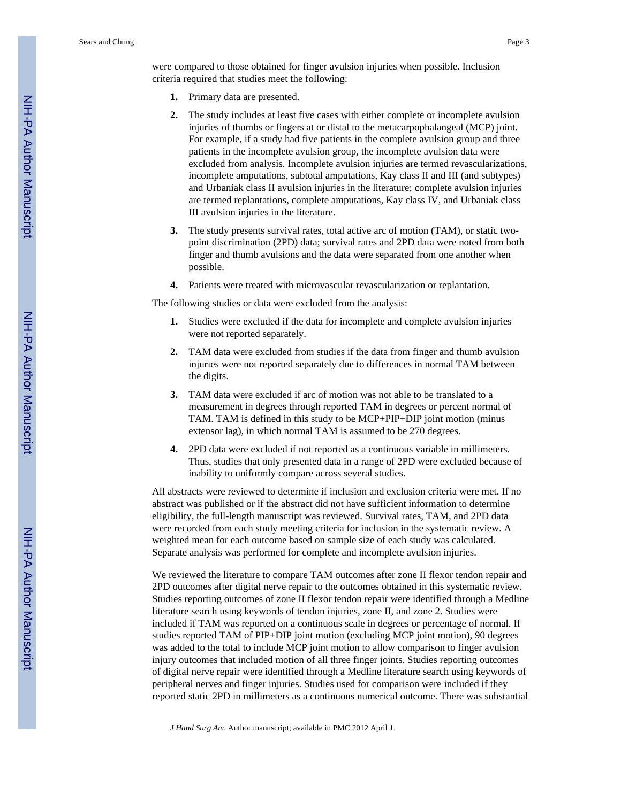were compared to those obtained for finger avulsion injuries when possible. Inclusion criteria required that studies meet the following:

- **1.** Primary data are presented.
- **2.** The study includes at least five cases with either complete or incomplete avulsion injuries of thumbs or fingers at or distal to the metacarpophalangeal (MCP) joint. For example, if a study had five patients in the complete avulsion group and three patients in the incomplete avulsion group, the incomplete avulsion data were excluded from analysis. Incomplete avulsion injuries are termed revascularizations, incomplete amputations, subtotal amputations, Kay class II and III (and subtypes) and Urbaniak class II avulsion injuries in the literature; complete avulsion injuries are termed replantations, complete amputations, Kay class IV, and Urbaniak class III avulsion injuries in the literature.
- **3.** The study presents survival rates, total active arc of motion (TAM), or static twopoint discrimination (2PD) data; survival rates and 2PD data were noted from both finger and thumb avulsions and the data were separated from one another when possible.
- **4.** Patients were treated with microvascular revascularization or replantation.

The following studies or data were excluded from the analysis:

- **1.** Studies were excluded if the data for incomplete and complete avulsion injuries were not reported separately.
- **2.** TAM data were excluded from studies if the data from finger and thumb avulsion injuries were not reported separately due to differences in normal TAM between the digits.
- **3.** TAM data were excluded if arc of motion was not able to be translated to a measurement in degrees through reported TAM in degrees or percent normal of TAM. TAM is defined in this study to be MCP+PIP+DIP joint motion (minus extensor lag), in which normal TAM is assumed to be 270 degrees.
- **4.** 2PD data were excluded if not reported as a continuous variable in millimeters. Thus, studies that only presented data in a range of 2PD were excluded because of inability to uniformly compare across several studies.

All abstracts were reviewed to determine if inclusion and exclusion criteria were met. If no abstract was published or if the abstract did not have sufficient information to determine eligibility, the full-length manuscript was reviewed. Survival rates, TAM, and 2PD data were recorded from each study meeting criteria for inclusion in the systematic review. A weighted mean for each outcome based on sample size of each study was calculated. Separate analysis was performed for complete and incomplete avulsion injuries.

We reviewed the literature to compare TAM outcomes after zone II flexor tendon repair and 2PD outcomes after digital nerve repair to the outcomes obtained in this systematic review. Studies reporting outcomes of zone II flexor tendon repair were identified through a Medline literature search using keywords of tendon injuries, zone II, and zone 2. Studies were included if TAM was reported on a continuous scale in degrees or percentage of normal. If studies reported TAM of PIP+DIP joint motion (excluding MCP joint motion), 90 degrees was added to the total to include MCP joint motion to allow comparison to finger avulsion injury outcomes that included motion of all three finger joints. Studies reporting outcomes of digital nerve repair were identified through a Medline literature search using keywords of peripheral nerves and finger injuries. Studies used for comparison were included if they reported static 2PD in millimeters as a continuous numerical outcome. There was substantial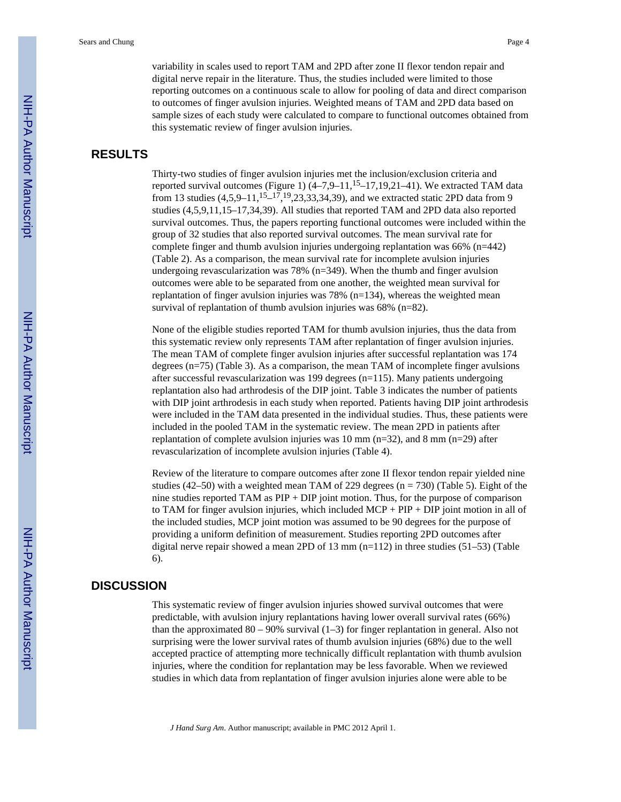variability in scales used to report TAM and 2PD after zone II flexor tendon repair and digital nerve repair in the literature. Thus, the studies included were limited to those reporting outcomes on a continuous scale to allow for pooling of data and direct comparison to outcomes of finger avulsion injuries. Weighted means of TAM and 2PD data based on sample sizes of each study were calculated to compare to functional outcomes obtained from this systematic review of finger avulsion injuries.

#### **RESULTS**

Thirty-two studies of finger avulsion injuries met the inclusion/exclusion criteria and reported survival outcomes (Figure 1)  $(4-7.9-11,15-17,19,21-41)$ . We extracted TAM data from 13 studies  $(4,5,9-11,^{15}-^{17},^{19},23,33,34,39)$ , and we extracted static 2PD data from 9 studies (4,5,9,11,15–17,34,39). All studies that reported TAM and 2PD data also reported survival outcomes. Thus, the papers reporting functional outcomes were included within the group of 32 studies that also reported survival outcomes. The mean survival rate for complete finger and thumb avulsion injuries undergoing replantation was 66% (n=442) (Table 2). As a comparison, the mean survival rate for incomplete avulsion injuries undergoing revascularization was 78% (n=349). When the thumb and finger avulsion outcomes were able to be separated from one another, the weighted mean survival for replantation of finger avulsion injuries was 78% (n=134), whereas the weighted mean survival of replantation of thumb avulsion injuries was 68% (n=82).

None of the eligible studies reported TAM for thumb avulsion injuries, thus the data from this systematic review only represents TAM after replantation of finger avulsion injuries. The mean TAM of complete finger avulsion injuries after successful replantation was 174 degrees (n=75) (Table 3). As a comparison, the mean TAM of incomplete finger avulsions after successful revascularization was 199 degrees (n=115). Many patients undergoing replantation also had arthrodesis of the DIP joint. Table 3 indicates the number of patients with DIP joint arthrodesis in each study when reported. Patients having DIP joint arthrodesis were included in the TAM data presented in the individual studies. Thus, these patients were included in the pooled TAM in the systematic review. The mean 2PD in patients after replantation of complete avulsion injuries was 10 mm ( $n=32$ ), and 8 mm ( $n=29$ ) after revascularization of incomplete avulsion injuries (Table 4).

Review of the literature to compare outcomes after zone II flexor tendon repair yielded nine studies (42–50) with a weighted mean TAM of 229 degrees ( $n = 730$ ) (Table 5). Eight of the nine studies reported TAM as PIP + DIP joint motion. Thus, for the purpose of comparison to TAM for finger avulsion injuries, which included  $MCP + PIP + DIP$  joint motion in all of the included studies, MCP joint motion was assumed to be 90 degrees for the purpose of providing a uniform definition of measurement. Studies reporting 2PD outcomes after digital nerve repair showed a mean 2PD of 13 mm  $(n=112)$  in three studies (51–53) (Table 6).

#### **DISCUSSION**

This systematic review of finger avulsion injuries showed survival outcomes that were predictable, with avulsion injury replantations having lower overall survival rates (66%) than the approximated  $80 - 90\%$  survival (1–3) for finger replantation in general. Also not surprising were the lower survival rates of thumb avulsion injuries (68%) due to the well accepted practice of attempting more technically difficult replantation with thumb avulsion injuries, where the condition for replantation may be less favorable. When we reviewed studies in which data from replantation of finger avulsion injuries alone were able to be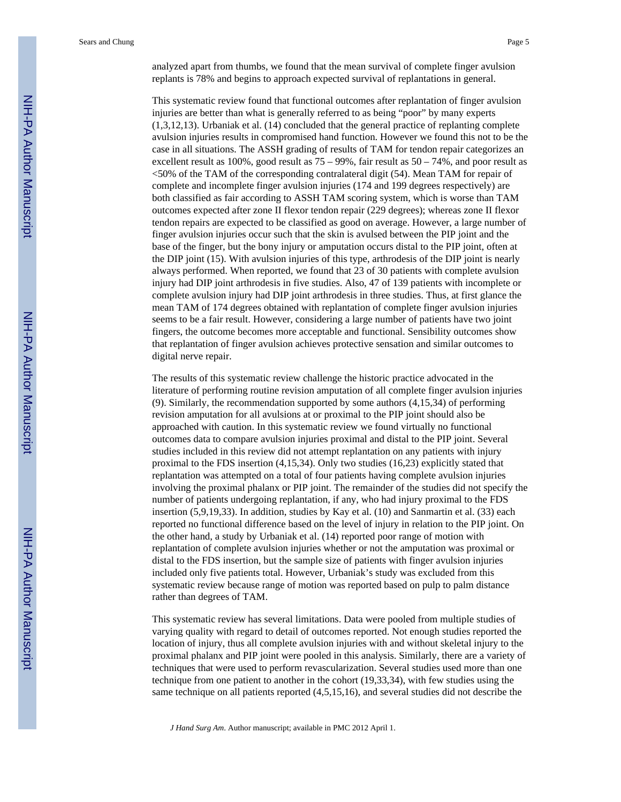analyzed apart from thumbs, we found that the mean survival of complete finger avulsion replants is 78% and begins to approach expected survival of replantations in general.

This systematic review found that functional outcomes after replantation of finger avulsion injuries are better than what is generally referred to as being "poor" by many experts (1,3,12,13). Urbaniak et al. (14) concluded that the general practice of replanting complete avulsion injuries results in compromised hand function. However we found this not to be the case in all situations. The ASSH grading of results of TAM for tendon repair categorizes an excellent result as 100%, good result as 75 – 99%, fair result as 50 – 74%, and poor result as <50% of the TAM of the corresponding contralateral digit (54). Mean TAM for repair of complete and incomplete finger avulsion injuries (174 and 199 degrees respectively) are both classified as fair according to ASSH TAM scoring system, which is worse than TAM outcomes expected after zone II flexor tendon repair (229 degrees); whereas zone II flexor tendon repairs are expected to be classified as good on average. However, a large number of finger avulsion injuries occur such that the skin is avulsed between the PIP joint and the base of the finger, but the bony injury or amputation occurs distal to the PIP joint, often at the DIP joint (15). With avulsion injuries of this type, arthrodesis of the DIP joint is nearly always performed. When reported, we found that 23 of 30 patients with complete avulsion injury had DIP joint arthrodesis in five studies. Also, 47 of 139 patients with incomplete or complete avulsion injury had DIP joint arthrodesis in three studies. Thus, at first glance the mean TAM of 174 degrees obtained with replantation of complete finger avulsion injuries seems to be a fair result. However, considering a large number of patients have two joint fingers, the outcome becomes more acceptable and functional. Sensibility outcomes show that replantation of finger avulsion achieves protective sensation and similar outcomes to digital nerve repair.

The results of this systematic review challenge the historic practice advocated in the literature of performing routine revision amputation of all complete finger avulsion injuries (9). Similarly, the recommendation supported by some authors (4,15,34) of performing revision amputation for all avulsions at or proximal to the PIP joint should also be approached with caution. In this systematic review we found virtually no functional outcomes data to compare avulsion injuries proximal and distal to the PIP joint. Several studies included in this review did not attempt replantation on any patients with injury proximal to the FDS insertion (4,15,34). Only two studies (16,23) explicitly stated that replantation was attempted on a total of four patients having complete avulsion injuries involving the proximal phalanx or PIP joint. The remainder of the studies did not specify the number of patients undergoing replantation, if any, who had injury proximal to the FDS insertion (5,9,19,33). In addition, studies by Kay et al. (10) and Sanmartin et al. (33) each reported no functional difference based on the level of injury in relation to the PIP joint. On the other hand, a study by Urbaniak et al. (14) reported poor range of motion with replantation of complete avulsion injuries whether or not the amputation was proximal or distal to the FDS insertion, but the sample size of patients with finger avulsion injuries included only five patients total. However, Urbaniak's study was excluded from this systematic review because range of motion was reported based on pulp to palm distance rather than degrees of TAM.

This systematic review has several limitations. Data were pooled from multiple studies of varying quality with regard to detail of outcomes reported. Not enough studies reported the location of injury, thus all complete avulsion injuries with and without skeletal injury to the proximal phalanx and PIP joint were pooled in this analysis. Similarly, there are a variety of techniques that were used to perform revascularization. Several studies used more than one technique from one patient to another in the cohort (19,33,34), with few studies using the same technique on all patients reported (4,5,15,16), and several studies did not describe the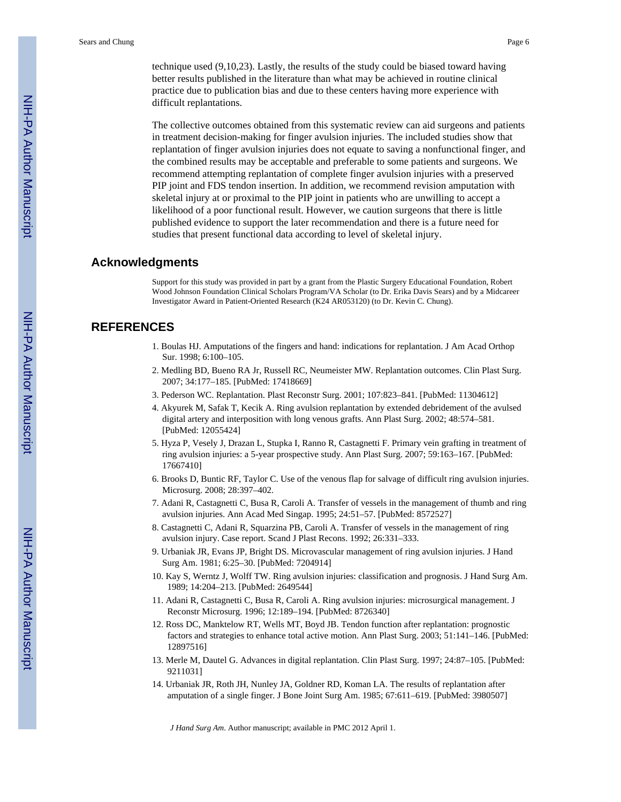technique used (9,10,23). Lastly, the results of the study could be biased toward having better results published in the literature than what may be achieved in routine clinical practice due to publication bias and due to these centers having more experience with difficult replantations.

The collective outcomes obtained from this systematic review can aid surgeons and patients in treatment decision-making for finger avulsion injuries. The included studies show that replantation of finger avulsion injuries does not equate to saving a nonfunctional finger, and the combined results may be acceptable and preferable to some patients and surgeons. We recommend attempting replantation of complete finger avulsion injuries with a preserved PIP joint and FDS tendon insertion. In addition, we recommend revision amputation with skeletal injury at or proximal to the PIP joint in patients who are unwilling to accept a likelihood of a poor functional result. However, we caution surgeons that there is little published evidence to support the later recommendation and there is a future need for studies that present functional data according to level of skeletal injury.

#### **Acknowledgments**

Support for this study was provided in part by a grant from the Plastic Surgery Educational Foundation, Robert Wood Johnson Foundation Clinical Scholars Program/VA Scholar (to Dr. Erika Davis Sears) and by a Midcareer Investigator Award in Patient-Oriented Research (K24 AR053120) (to Dr. Kevin C. Chung).

#### **REFERENCES**

- 1. Boulas HJ. Amputations of the fingers and hand: indications for replantation. J Am Acad Orthop Sur. 1998; 6:100–105.
- 2. Medling BD, Bueno RA Jr, Russell RC, Neumeister MW. Replantation outcomes. Clin Plast Surg. 2007; 34:177–185. [PubMed: 17418669]
- 3. Pederson WC. Replantation. Plast Reconstr Surg. 2001; 107:823–841. [PubMed: 11304612]
- 4. Akyurek M, Safak T, Kecik A. Ring avulsion replantation by extended debridement of the avulsed digital artery and interposition with long venous grafts. Ann Plast Surg. 2002; 48:574–581. [PubMed: 12055424]
- 5. Hyza P, Vesely J, Drazan L, Stupka I, Ranno R, Castagnetti F. Primary vein grafting in treatment of ring avulsion injuries: a 5-year prospective study. Ann Plast Surg. 2007; 59:163–167. [PubMed: 17667410]
- 6. Brooks D, Buntic RF, Taylor C. Use of the venous flap for salvage of difficult ring avulsion injuries. Microsurg. 2008; 28:397–402.
- 7. Adani R, Castagnetti C, Busa R, Caroli A. Transfer of vessels in the management of thumb and ring avulsion injuries. Ann Acad Med Singap. 1995; 24:51–57. [PubMed: 8572527]
- 8. Castagnetti C, Adani R, Squarzina PB, Caroli A. Transfer of vessels in the management of ring avulsion injury. Case report. Scand J Plast Recons. 1992; 26:331–333.
- 9. Urbaniak JR, Evans JP, Bright DS. Microvascular management of ring avulsion injuries. J Hand Surg Am. 1981; 6:25–30. [PubMed: 7204914]
- 10. Kay S, Werntz J, Wolff TW. Ring avulsion injuries: classification and prognosis. J Hand Surg Am. 1989; 14:204–213. [PubMed: 2649544]
- 11. Adani R, Castagnetti C, Busa R, Caroli A. Ring avulsion injuries: microsurgical management. J Reconstr Microsurg. 1996; 12:189–194. [PubMed: 8726340]
- 12. Ross DC, Manktelow RT, Wells MT, Boyd JB. Tendon function after replantation: prognostic factors and strategies to enhance total active motion. Ann Plast Surg. 2003; 51:141–146. [PubMed: 12897516]
- 13. Merle M, Dautel G. Advances in digital replantation. Clin Plast Surg. 1997; 24:87–105. [PubMed: 9211031]
- 14. Urbaniak JR, Roth JH, Nunley JA, Goldner RD, Koman LA. The results of replantation after amputation of a single finger. J Bone Joint Surg Am. 1985; 67:611–619. [PubMed: 3980507]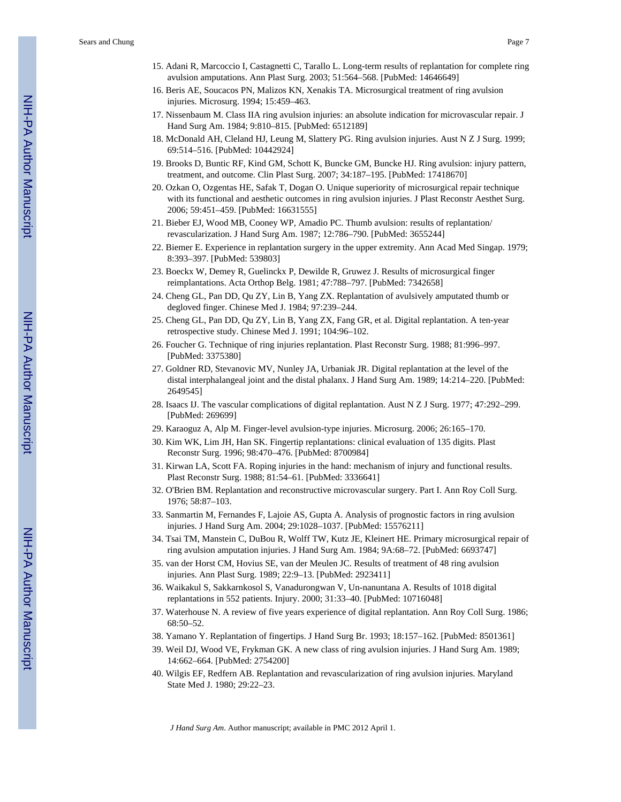Sears and Chung Page 7

- 16. Beris AE, Soucacos PN, Malizos KN, Xenakis TA. Microsurgical treatment of ring avulsion injuries. Microsurg. 1994; 15:459–463.
- 17. Nissenbaum M. Class IIA ring avulsion injuries: an absolute indication for microvascular repair. J Hand Surg Am. 1984; 9:810–815. [PubMed: 6512189]
- 18. McDonald AH, Cleland HJ, Leung M, Slattery PG. Ring avulsion injuries. Aust N Z J Surg. 1999; 69:514–516. [PubMed: 10442924]
- 19. Brooks D, Buntic RF, Kind GM, Schott K, Buncke GM, Buncke HJ. Ring avulsion: injury pattern, treatment, and outcome. Clin Plast Surg. 2007; 34:187–195. [PubMed: 17418670]
- 20. Ozkan O, Ozgentas HE, Safak T, Dogan O. Unique superiority of microsurgical repair technique with its functional and aesthetic outcomes in ring avulsion injuries. J Plast Reconstr Aesthet Surg. 2006; 59:451–459. [PubMed: 16631555]
- 21. Bieber EJ, Wood MB, Cooney WP, Amadio PC. Thumb avulsion: results of replantation/ revascularization. J Hand Surg Am. 1987; 12:786–790. [PubMed: 3655244]
- 22. Biemer E. Experience in replantation surgery in the upper extremity. Ann Acad Med Singap. 1979; 8:393–397. [PubMed: 539803]
- 23. Boeckx W, Demey R, Guelinckx P, Dewilde R, Gruwez J. Results of microsurgical finger reimplantations. Acta Orthop Belg. 1981; 47:788–797. [PubMed: 7342658]
- 24. Cheng GL, Pan DD, Qu ZY, Lin B, Yang ZX. Replantation of avulsively amputated thumb or degloved finger. Chinese Med J. 1984; 97:239–244.
- 25. Cheng GL, Pan DD, Qu ZY, Lin B, Yang ZX, Fang GR, et al. Digital replantation. A ten-year retrospective study. Chinese Med J. 1991; 104:96–102.
- 26. Foucher G. Technique of ring injuries replantation. Plast Reconstr Surg. 1988; 81:996–997. [PubMed: 3375380]
- 27. Goldner RD, Stevanovic MV, Nunley JA, Urbaniak JR. Digital replantation at the level of the distal interphalangeal joint and the distal phalanx. J Hand Surg Am. 1989; 14:214–220. [PubMed: 2649545]
- 28. Isaacs IJ. The vascular complications of digital replantation. Aust N Z J Surg. 1977; 47:292–299. [PubMed: 269699]
- 29. Karaoguz A, Alp M. Finger-level avulsion-type injuries. Microsurg. 2006; 26:165–170.
- 30. Kim WK, Lim JH, Han SK. Fingertip replantations: clinical evaluation of 135 digits. Plast Reconstr Surg. 1996; 98:470–476. [PubMed: 8700984]
- 31. Kirwan LA, Scott FA. Roping injuries in the hand: mechanism of injury and functional results. Plast Reconstr Surg. 1988; 81:54–61. [PubMed: 3336641]
- 32. O'Brien BM. Replantation and reconstructive microvascular surgery. Part I. Ann Roy Coll Surg. 1976; 58:87–103.
- 33. Sanmartin M, Fernandes F, Lajoie AS, Gupta A. Analysis of prognostic factors in ring avulsion injuries. J Hand Surg Am. 2004; 29:1028–1037. [PubMed: 15576211]
- 34. Tsai TM, Manstein C, DuBou R, Wolff TW, Kutz JE, Kleinert HE. Primary microsurgical repair of ring avulsion amputation injuries. J Hand Surg Am. 1984; 9A:68–72. [PubMed: 6693747]
- 35. van der Horst CM, Hovius SE, van der Meulen JC. Results of treatment of 48 ring avulsion injuries. Ann Plast Surg. 1989; 22:9–13. [PubMed: 2923411]
- 36. Waikakul S, Sakkarnkosol S, Vanadurongwan V, Un-nanuntana A. Results of 1018 digital replantations in 552 patients. Injury. 2000; 31:33–40. [PubMed: 10716048]
- 37. Waterhouse N. A review of five years experience of digital replantation. Ann Roy Coll Surg. 1986; 68:50–52.
- 38. Yamano Y. Replantation of fingertips. J Hand Surg Br. 1993; 18:157–162. [PubMed: 8501361]
- 39. Weil DJ, Wood VE, Frykman GK. A new class of ring avulsion injuries. J Hand Surg Am. 1989; 14:662–664. [PubMed: 2754200]
- 40. Wilgis EF, Redfern AB. Replantation and revascularization of ring avulsion injuries. Maryland State Med J. 1980; 29:22–23.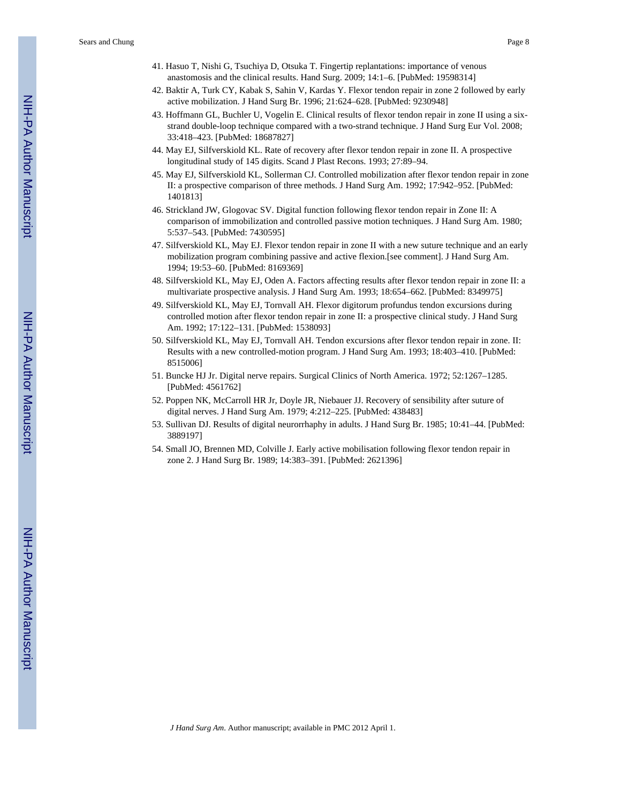- 41. Hasuo T, Nishi G, Tsuchiya D, Otsuka T. Fingertip replantations: importance of venous anastomosis and the clinical results. Hand Surg. 2009; 14:1–6. [PubMed: 19598314]
- 42. Baktir A, Turk CY, Kabak S, Sahin V, Kardas Y. Flexor tendon repair in zone 2 followed by early active mobilization. J Hand Surg Br. 1996; 21:624–628. [PubMed: 9230948]
- 43. Hoffmann GL, Buchler U, Vogelin E. Clinical results of flexor tendon repair in zone II using a sixstrand double-loop technique compared with a two-strand technique. J Hand Surg Eur Vol. 2008; 33:418–423. [PubMed: 18687827]
- 44. May EJ, Silfverskiold KL. Rate of recovery after flexor tendon repair in zone II. A prospective longitudinal study of 145 digits. Scand J Plast Recons. 1993; 27:89–94.
- 45. May EJ, Silfverskiold KL, Sollerman CJ. Controlled mobilization after flexor tendon repair in zone II: a prospective comparison of three methods. J Hand Surg Am. 1992; 17:942–952. [PubMed: 1401813]
- 46. Strickland JW, Glogovac SV. Digital function following flexor tendon repair in Zone II: A comparison of immobilization and controlled passive motion techniques. J Hand Surg Am. 1980; 5:537–543. [PubMed: 7430595]
- 47. Silfverskiold KL, May EJ. Flexor tendon repair in zone II with a new suture technique and an early mobilization program combining passive and active flexion.[see comment]. J Hand Surg Am. 1994; 19:53–60. [PubMed: 8169369]
- 48. Silfverskiold KL, May EJ, Oden A. Factors affecting results after flexor tendon repair in zone II: a multivariate prospective analysis. J Hand Surg Am. 1993; 18:654–662. [PubMed: 8349975]
- 49. Silfverskiold KL, May EJ, Tornvall AH. Flexor digitorum profundus tendon excursions during controlled motion after flexor tendon repair in zone II: a prospective clinical study. J Hand Surg Am. 1992; 17:122–131. [PubMed: 1538093]
- 50. Silfverskiold KL, May EJ, Tornvall AH. Tendon excursions after flexor tendon repair in zone. II: Results with a new controlled-motion program. J Hand Surg Am. 1993; 18:403–410. [PubMed: 8515006]
- 51. Buncke HJ Jr. Digital nerve repairs. Surgical Clinics of North America. 1972; 52:1267–1285. [PubMed: 4561762]
- 52. Poppen NK, McCarroll HR Jr, Doyle JR, Niebauer JJ. Recovery of sensibility after suture of digital nerves. J Hand Surg Am. 1979; 4:212–225. [PubMed: 438483]
- 53. Sullivan DJ. Results of digital neurorrhaphy in adults. J Hand Surg Br. 1985; 10:41–44. [PubMed: 3889197]
- 54. Small JO, Brennen MD, Colville J. Early active mobilisation following flexor tendon repair in zone 2. J Hand Surg Br. 1989; 14:383–391. [PubMed: 2621396]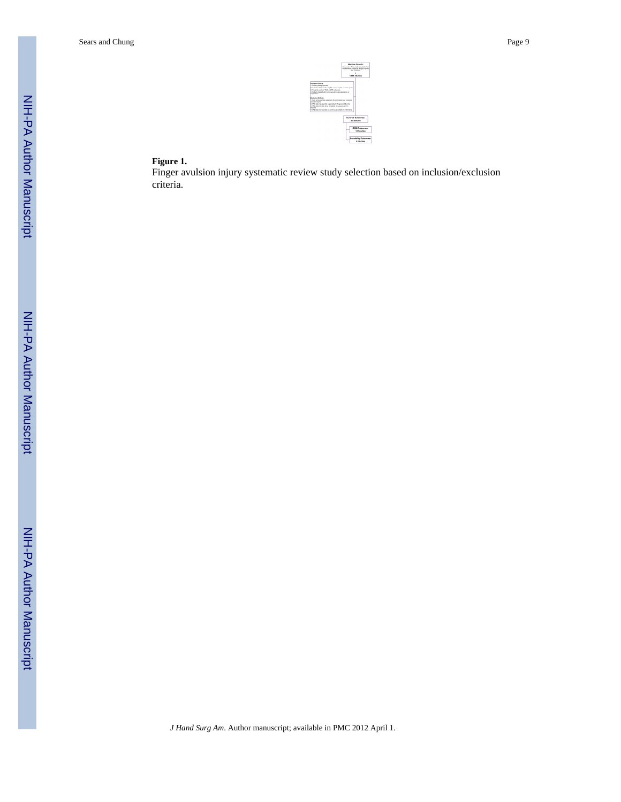#### **Figure 1.**

Finger avulsion injury systematic review study selection based on inclusion/exclusion criteria.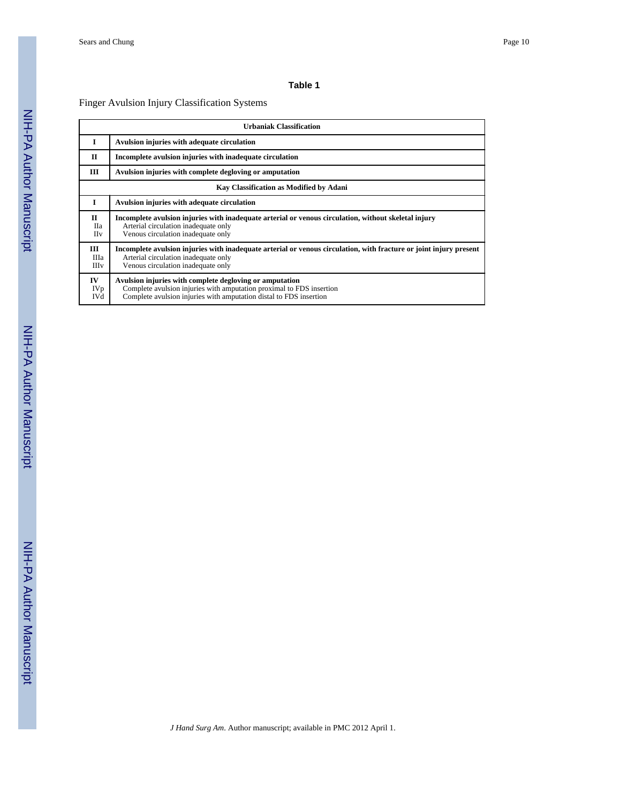#### Finger Avulsion Injury Classification Systems

|                                          | <b>Urbaniak Classification</b>                                                                                                                                                                        |  |  |  |  |
|------------------------------------------|-------------------------------------------------------------------------------------------------------------------------------------------------------------------------------------------------------|--|--|--|--|
| I                                        | Avulsion injuries with adequate circulation                                                                                                                                                           |  |  |  |  |
| $\Pi$                                    | Incomplete avulsion injuries with inadequate circulation                                                                                                                                              |  |  |  |  |
| Ш                                        | Avulsion injuries with complete degloving or amputation                                                                                                                                               |  |  |  |  |
|                                          | Kay Classification as Modified by Adani                                                                                                                                                               |  |  |  |  |
| I                                        | Avulsion injuries with adequate circulation                                                                                                                                                           |  |  |  |  |
| П<br><b>H</b> <sub>a</sub><br><b>IIv</b> | Incomplete avulsion injuries with inadequate arterial or venous circulation, without skeletal injury<br>Arterial circulation inadequate only<br>Venous circulation inadequate only                    |  |  |  |  |
| Ш<br>Ша<br><b>III</b> <sub>v</sub>       | Incomplete avulsion injuries with inadequate arterial or venous circulation, with fracture or joint injury present<br>Arterial circulation inadequate only<br>Venous circulation inadequate only      |  |  |  |  |
| IV<br>IVp<br>IVd                         | Avulsion injuries with complete degloving or amputation<br>Complete avulsion injuries with amputation proximal to FDS insertion<br>Complete avulsion injuries with amputation distal to FDS insertion |  |  |  |  |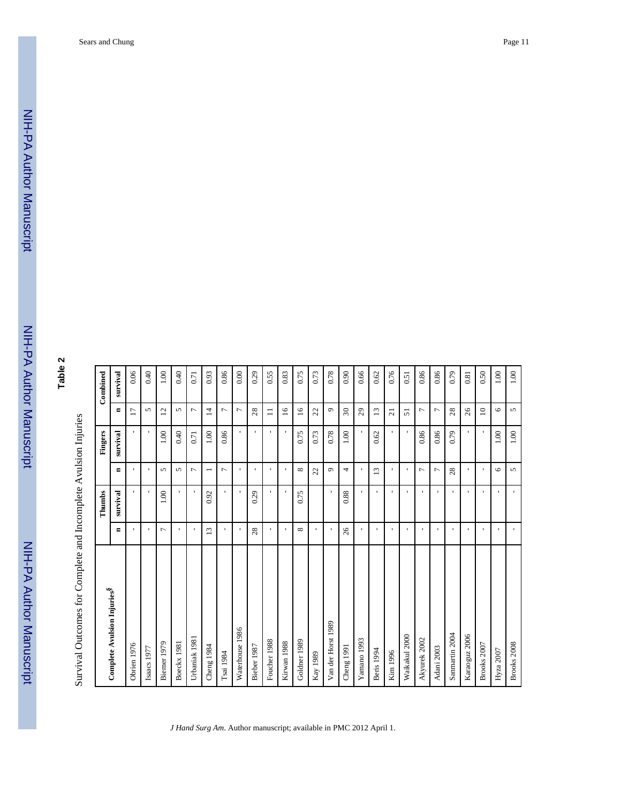NIH-PA Author Manuscript NIH-PA Author Manuscript

# **Table 2**

|                                         |                 | Thumbs       |                 | Fingers      |                          | Combined |
|-----------------------------------------|-----------------|--------------|-----------------|--------------|--------------------------|----------|
| Complete Avulsion Injuries <sup>§</sup> | Ξ               | survival     | $\blacksquare$  | survival     | Ξ                        | survival |
| Obrien 1976                             | J.              | $\mathbf{I}$ | ×               | $\mathbf{I}$ | $\overline{17}$          | 0.06     |
| Isaacs 1977                             | $\mathbf{I}$    | $\mathbf{I}$ | $\mathbf{I}$    | $\mathbf{I}$ | 5                        | 0.40     |
| Biemer 1979                             | $\overline{ }$  | 1.00         | 5               | 1.00         | $\overline{c}$           | 1.00     |
| Boeckx 1981                             | $\mathbf{I}$    |              | 5               | 0.40         | $\sqrt{2}$               | 0.40     |
| Urbaniak 1981                           | $\mathbf{I}$    | $\mathbf{I}$ | 1               | 0.71         | $\overline{ }$           | 0.71     |
| Cheng 1984                              | $\overline{13}$ | 0.92         |                 | 1.00         | $\overline{4}$           | 0.93     |
| Tsai 1984                               | J.              | J.           | $\overline{ }$  | 0.86         | $\overline{ }$           | 0.86     |
| Waterhouse 1986                         | $\mathbf{I}$    | f.           | ×.              | r.           | $\overline{ }$           | 0.00     |
| Bieber 1987                             | 28              | 0.29         | $\mathbf{I}$    | $\mathbf{L}$ | 28                       | 0.29     |
| Foucher 1988                            | $\mathbf{I}$    | J.           | ×               | $\mathbf{I}$ | $\Xi$                    | 0.55     |
| Kirwan 1988                             | $\mathbf{I}$    | ×.           | f.              | $\mathbf{I}$ | $\overline{16}$          | 0.83     |
| Goldner 1989                            | ${}^{\circ}$    | 0.75         | ${}^{\circ}$    | 0.75         | $\overline{16}$          | 0.75     |
| Kay 1989                                | J.              |              | 22              | 0.73         | 22                       | 0.73     |
| Van der Horst 1989                      | ٠               |              | $\sigma$        | 0.78         | $\circ$                  | 0.78     |
| Cheng 1991                              | 26              | 0.88         | 4               | 1.00         | $\overline{\mathcal{E}}$ | 0.90     |
| Yamano 1993                             | $\mathbf{I}$    | $\mathbf{I}$ | $\mathbf{I}$    | $\mathbf{I}$ | 29                       | 0.66     |
| Beris 1994                              | $\mathbf{I}$    | $\mathbf{I}$ | $\overline{13}$ | 0.62         | $\overline{13}$          | 0.62     |
| Kim 1996                                | $\mathbf{I}$    | $\mathbf{I}$ | л.              | $\mathbf{I}$ | $\overline{z}$           | 0.76     |
| Waikakul 2000                           | $\mathbf{I}$    | $\mathbf{I}$ | J.              | $\mathbf{I}$ | $\overline{5}$           | 0.51     |
| Akyurek 2002                            | ٠               | f.           | $\overline{ }$  | 0.86         | $\overline{ }$           | 0.86     |
| Adani 2003                              | $\mathbf{I}$    | $\mathbf{I}$ | $\overline{ }$  | 0.86         | $\overline{ }$           | 0.86     |
| Sanmartin 2004                          | $\mathbf{I}$    | $\mathbf{I}$ | 28              | 0.79         | 28                       | 0.79     |
| Karaoguz 2006                           | $\mathbf{I}$    | $\mathbf{I}$ | $\mathbf{I}$    | ×.           | 26                       | 0.81     |
| Brooks 2007                             | $\mathbf{I}$    | J.           | $\mathbf{I}$    | $\mathbf{I}$ | $\supseteq$              | 0.50     |
| Hyza 2007                               | $\mathbf{I}$    | $\mathbf{I}$ | $\circ$         | 1.00         | $\circ$                  | 1.00     |
| Brooks 2008                             | $\mathbf{r}$    | $\mathbf{I}$ | 5               | $1.00\,$     | 5                        | $1.00\,$ |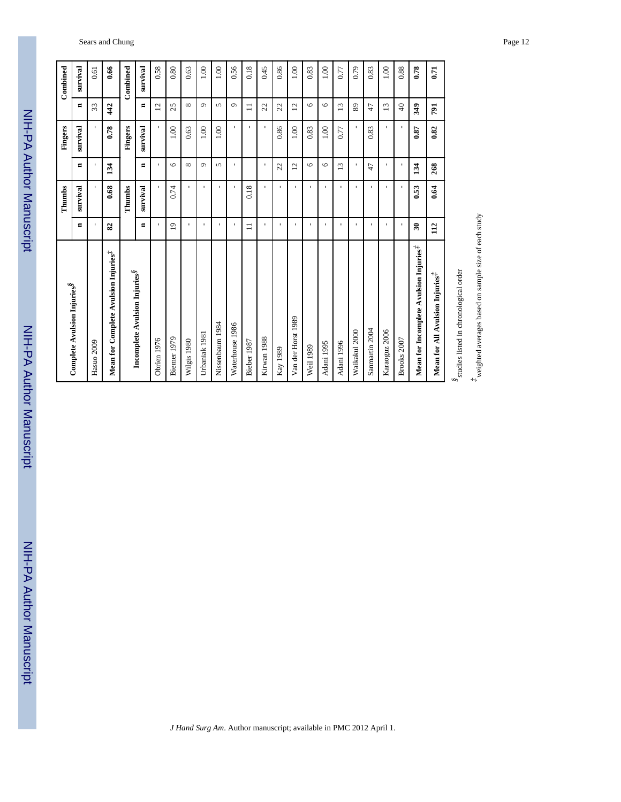| lumol    |
|----------|
|          |
|          |
|          |
|          |
|          |
|          |
|          |
|          |
| Š        |
|          |
| <u>:</u> |
|          |
|          |
|          |
|          |
|          |

NIH-PA Author Manuscript

NIH-PA Author Manuscript

| Sears and Chung | Page 12 |
|-----------------|---------|
|                 |         |

|                                                    |                          | Thumbs       |                 | Fingers        |                 | Combined |  |
|----------------------------------------------------|--------------------------|--------------|-----------------|----------------|-----------------|----------|--|
| Complete Avulsion Injuries <sup>§</sup>            | $\blacksquare$           | survival     | $\blacksquare$  | survival       | $\blacksquare$  | survival |  |
| Hasuo 2009                                         | $\blacksquare$           |              |                 |                | 33              | 0.61     |  |
| Mean for Complete Avulsion Injuries <sup>#</sup>   | 82                       | 0.68         | 134             | 0.78           | 42              | 0.66     |  |
|                                                    |                          | Thumbs       |                 | Fingers        |                 | Combined |  |
| Incomplete Avulsion Injuries <sup>§</sup>          | $\blacksquare$           | survival     | $\blacksquare$  | survival       | $\blacksquare$  | survival |  |
| Obrien 1976                                        | $\mathbf{I}$             |              | $\mathbf{I}$    |                | $\overline{2}$  | 0.58     |  |
| Biemer 1979                                        | $\overline{1}$           | 0.74         | $\circ$         | 1.00           | 25              | 0.80     |  |
| Wilgis 1980                                        | ٠                        |              | ${}^{\circ}$    | 0.63           | ${}^{\circ}$    | 0.63     |  |
| Urbaniak 1981                                      | $\overline{\phantom{a}}$ | $\mathbf{I}$ | $\sigma$        | 1.00           | $\sigma$        | 1.00     |  |
| Nissenbaum 1984                                    | $\blacksquare$           | $\mathbf{I}$ | 5               | 1.00           | 5               | 1.00     |  |
| Waterhouse 1986                                    | $\blacksquare$           | $\mathbf{I}$ | f,              | r.             | $\sigma$        | 0.56     |  |
| Bieber 1987                                        | $\equiv$                 | 0.18         |                 | ×.             | $\equiv$        | 0.18     |  |
| Kirwan 1988                                        | $\mathbf{I}$             |              |                 |                | $\mathfrak{L}$  | 0.45     |  |
| Kay 1989                                           | $\mathbf{I}$             |              | 22              | 0.86           | 22              | 0.86     |  |
| Van der Horst 1989                                 | $\mathbf{I}$             |              | $\overline{12}$ | 1.00           | $\overline{12}$ | 1.00     |  |
| Weil 1989                                          | $\mathbf{I}$             | $\mathbf{I}$ | $\circ$         | 0.83           | $\circ$         | 0.83     |  |
| Adani 1995                                         | $\mathbf{I}$             | ×            | $\circ$         | 1.00           | $\circ$         | 1.00     |  |
| Adani 1996                                         | $\mathbf{I}$             | f.           | 13              | 0.77           | 13              | 0.77     |  |
| Waikakul 2000                                      | $\mathbf{I}$             | ×            | л               | $\blacksquare$ | 89              | 0.79     |  |
| Sanmartin 2004                                     | $\mathbf{I}$             |              | $\ddot{t}$      | 0.83           | 47              | 0.83     |  |
| Karaoguz 2006                                      | $\mathbf{I}$             |              |                 | J.             | 13              | 1.00     |  |
| Brooks 2007                                        | $\blacksquare$           |              |                 |                | $\frac{1}{4}$   | 0.88     |  |
| Mean for Incomplete Avulsion Injuries <sup>#</sup> | $\mathfrak{F}$           | 0.53         | 134             | 0.87           | 349             | 0.78     |  |
| Mean for All Avulsion Injuries <sup>#</sup>        | 112                      | 0.64         | 268             | 0.82           | 791             | 0.71     |  |
|                                                    |                          |              |                 |                |                 |          |  |

*J Hand Surg Am*. Author manuscript; available in PMC 2012 April 1.

*§*studies listed in chronological order

<sup>8</sup>studies listed in chronological order

*‡*weighted averages based on sample size of each study

 $^{\not\pm}$  weighted averages based on sample size of each study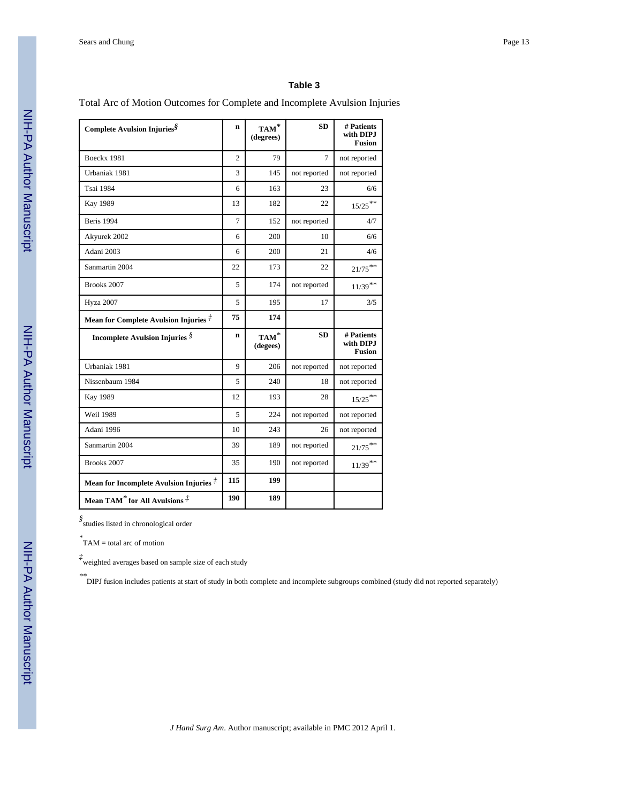Total Arc of Motion Outcomes for Complete and Incomplete Avulsion Injuries

| Complete Avulsion Injuries <sup>§</sup>          | $\mathbf n$    | $\mathbf{TAM}^*$<br>(degrees) | <b>SD</b>    | # Patients<br>with DIPJ<br><b>Fusion</b> |
|--------------------------------------------------|----------------|-------------------------------|--------------|------------------------------------------|
| Boeckx 1981                                      | $\overline{c}$ | 79                            | 7            | not reported                             |
| Urbaniak 1981                                    | 3              | 145                           | not reported | not reported                             |
| <b>Tsai 1984</b>                                 | 6              | 163                           | 23           | 6/6                                      |
| <b>Kay 1989</b>                                  | 13             | 182                           | 22           | $15/25$ <sup>**</sup>                    |
| Beris 1994                                       | $\overline{7}$ | 152                           | not reported | 4/7                                      |
| Akyurek 2002                                     | 6              | 200                           | 10           | 6/6                                      |
| Adani 2003                                       | 6              | 200                           | 21           | 4/6                                      |
| Sanmartin 2004                                   | 22             | 173                           | 22           | $21/75***$                               |
| Brooks 2007                                      | 5              | 174                           | not reported | $11/39$ **                               |
| <b>Hyza 2007</b>                                 | 5              | 195                           | 17           | 3/5                                      |
| Mean for Complete Avulsion Injuries $\vec{\tau}$ | 75             | 174                           |              |                                          |
| <b>Incomplete Avulsion Injuries</b> $\hat{S}$    | $\mathbf n$    | $TAM^*$<br>(degees)           | <b>SD</b>    | # Patients<br>with DIPJ<br><b>Fusion</b> |
| Urbaniak 1981                                    | 9              | 206                           | not reported | not reported                             |
| Nissenbaum 1984                                  | 5              | 240                           | 18           | not reported                             |
| Kay 1989                                         | 12             | 193                           | 28           | $15/25$ **                               |
| <b>Weil 1989</b>                                 | 5              | 224                           | not reported | not reported                             |
| Adani 1996                                       | 10             | 243                           | 26           | not reported                             |
| Sanmartin 2004                                   | 39             | 189                           | not reported | $21/75***$                               |
| Brooks 2007                                      | 35             | 190                           | not reported | $11/39$ **                               |
| Mean for Incomplete Avulsion Injuries $\vec{f}$  | 115            | 199                           |              |                                          |
| Mean TAM* for All Avulsions $\ddot{A}$           | 190            | 189                           |              |                                          |

*§* studies listed in chronological order

*\** TAM = total arc of motion

*‡* weighted averages based on sample size of each study

*\*\**DIPJ fusion includes patients at start of study in both complete and incomplete subgroups combined (study did not reported separately)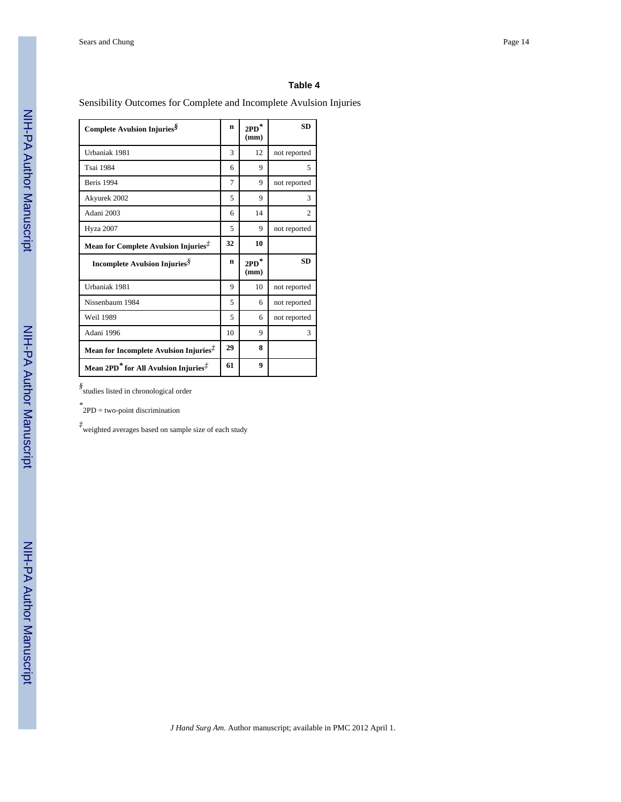Sensibility Outcomes for Complete and Incomplete Avulsion Injuries

| Complete Avulsion Injuries <sup>§</sup>                                                 | $\mathbf n$ | $\mathbf{2PD}^*$<br>(mm)            | <b>SD</b>      |
|-----------------------------------------------------------------------------------------|-------------|-------------------------------------|----------------|
| Urbaniak 1981                                                                           | 3           | 12                                  | not reported   |
| Tsai 1984                                                                               | 6           | 9                                   | 5              |
| <b>Beris</b> 1994                                                                       | 7           | 9                                   | not reported   |
| Akyurek 2002                                                                            | 5           | 9                                   | 3              |
| Adani 2003                                                                              | 6           | 14                                  | $\mathfrak{2}$ |
| <b>Hyza 2007</b>                                                                        | 5           | 9                                   | not reported   |
| Mean for Complete Avulsion Injuries <sup>#</sup>                                        | 32          | 10                                  |                |
| Incomplete Avulsion Injuries <sup>§</sup>                                               | n           | $2{\mathbf P}{\mathbf D}^*$<br>(mm) | <b>SD</b>      |
| Urbaniak 1981                                                                           | 9           | 10                                  | not reported   |
| Nissenbaum 1984                                                                         | 5           | 6                                   | not reported   |
| <b>Weil 1989</b>                                                                        | 5           | 6                                   | not reported   |
| Adani 1996                                                                              | 10          | 9                                   | 3              |
| Mean for Incomplete Avulsion Injuries <sup>#</sup>                                      | 29          | 8                                   |                |
| Mean 2PD <sup>*</sup> for All Avulsion Injuries <sup><math>\ddot{\uparrow}</math></sup> | 61          | 9                                   |                |

*§* studies listed in chronological order

*\** 2PD = two-point discrimination

*‡* weighted averages based on sample size of each study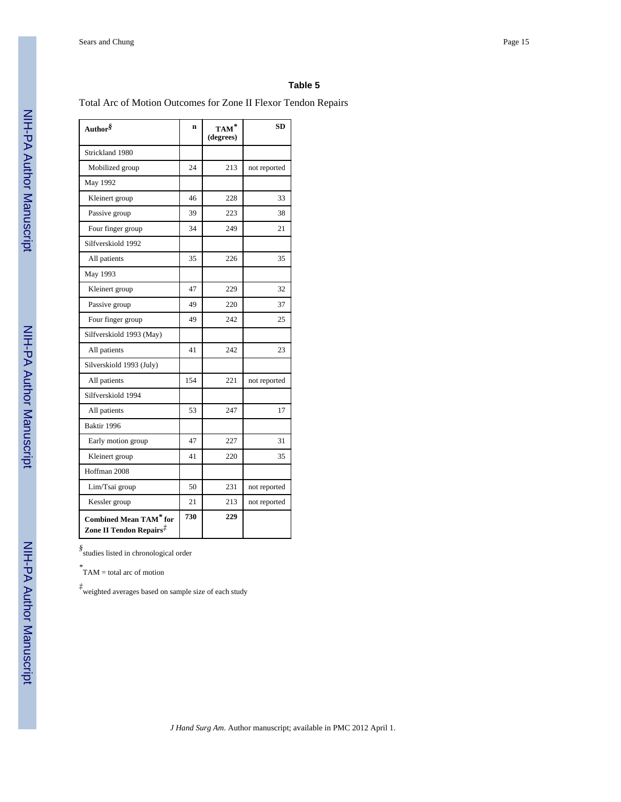#### Total Arc of Motion Outcomes for Zone II Flexor Tendon Repairs

| Author <sup>§</sup>                                                  | n   | $\mathbf{TAM}^*$<br>(degrees) | <b>SD</b>    |
|----------------------------------------------------------------------|-----|-------------------------------|--------------|
| Strickland 1980                                                      |     |                               |              |
| Mobilized group                                                      | 24  | 213                           | not reported |
| May 1992                                                             |     |                               |              |
| Kleinert group                                                       | 46  | 228                           | 33           |
| Passive group                                                        | 39  | 223                           | 38           |
| Four finger group                                                    | 34  | 249                           | 21           |
| Silfverskiold 1992                                                   |     |                               |              |
| All patients                                                         | 35  | 226                           | 35           |
| May 1993                                                             |     |                               |              |
| Kleinert group                                                       | 47  | 229                           | 32           |
| Passive group                                                        | 49  | 220                           | 37           |
| Four finger group                                                    | 49  | 242                           | 25           |
| Silfverskiold 1993 (May)                                             |     |                               |              |
| All patients                                                         | 41  | 242                           | 23           |
| Silverskiold 1993 (July)                                             |     |                               |              |
| All patients                                                         | 154 | 221                           | not reported |
| Silfverskiold 1994                                                   |     |                               |              |
| All patients                                                         | 53  | 247                           | 17           |
| Baktir 1996                                                          |     |                               |              |
| Early motion group                                                   | 47  | 227                           | 31           |
| Kleinert group                                                       | 41  | 220                           | 35           |
| Hoffman 2008                                                         |     |                               |              |
| Lim/Tsai group                                                       | 50  | 231                           | not reported |
| Kessler group                                                        | 21  | 213                           | not reported |
| <b>Combined Mean TAM*</b> for<br>Zone II Tendon Repairs <sup>‡</sup> | 730 | 229                           |              |

*§* studies listed in chronological order

*\** TAM = total arc of motion

*‡* weighted averages based on sample size of each study